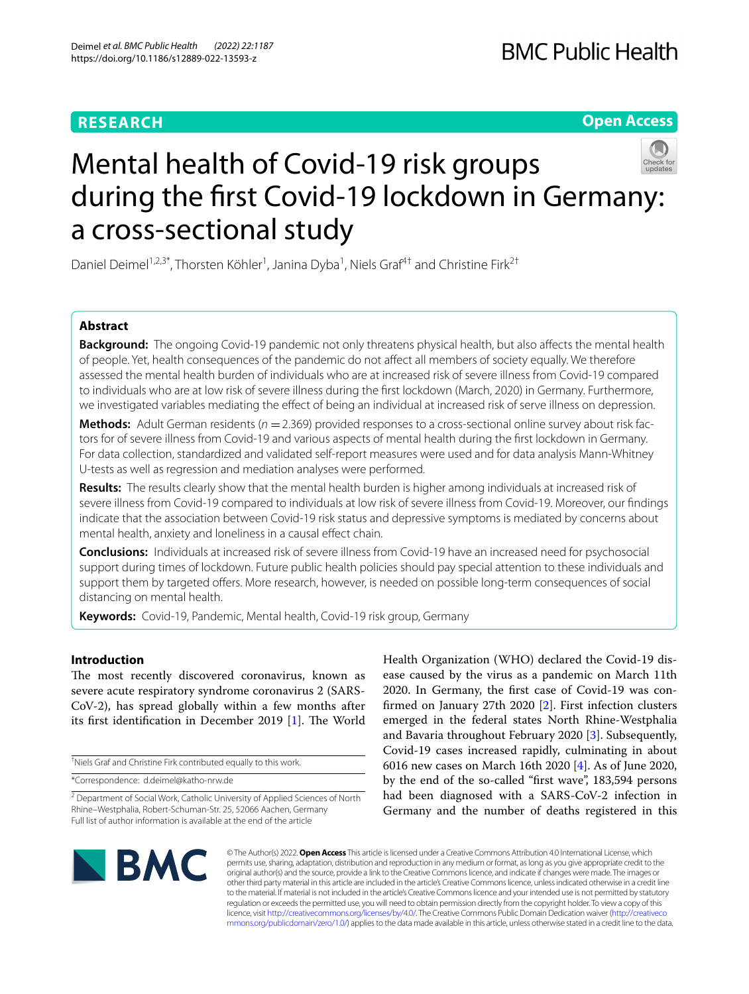### **RESEARCH**

**Open Access**

# Mental health of Covid-19 risk groups during the frst Covid-19 lockdown in Germany: a cross-sectional study

Daniel Deimel<sup>1,2,3\*</sup>, Thorsten Köhler<sup>1</sup>, Janina Dyba<sup>1</sup>, Niels Graf<sup>4†</sup> and Christine Firk<sup>2†</sup>

### **Abstract**

**Background:** The ongoing Covid-19 pandemic not only threatens physical health, but also afects the mental health of people. Yet, health consequences of the pandemic do not afect all members of society equally. We therefore assessed the mental health burden of individuals who are at increased risk of severe illness from Covid-19 compared to individuals who are at low risk of severe illness during the frst lockdown (March, 2020) in Germany. Furthermore, we investigated variables mediating the efect of being an individual at increased risk of serve illness on depression.

**Methods:** Adult German residents ( $n = 2.369$ ) provided responses to a cross-sectional online survey about risk factors for of severe illness from Covid-19 and various aspects of mental health during the frst lockdown in Germany. For data collection, standardized and validated self-report measures were used and for data analysis Mann-Whitney U-tests as well as regression and mediation analyses were performed.

**Results:** The results clearly show that the mental health burden is higher among individuals at increased risk of severe illness from Covid-19 compared to individuals at low risk of severe illness from Covid-19. Moreover, our fndings indicate that the association between Covid-19 risk status and depressive symptoms is mediated by concerns about mental health, anxiety and loneliness in a causal effect chain.

**Conclusions:** Individuals at increased risk of severe illness from Covid-19 have an increased need for psychosocial support during times of lockdown. Future public health policies should pay special attention to these individuals and support them by targeted ofers. More research, however, is needed on possible long-term consequences of social distancing on mental health.

**Keywords:** Covid-19, Pandemic, Mental health, Covid-19 risk group, Germany

### **Introduction**

The most recently discovered coronavirus, known as severe acute respiratory syndrome coronavirus 2 (SARS-CoV-2), has spread globally within a few months after its first identification in December 2019 [[1\]](#page-8-0). The World

† Niels Graf and Christine Firk contributed equally to this work.

\*Correspondence: d.deimel@katho-nrw.de

Health Organization (WHO) declared the Covid-19 disease caused by the virus as a pandemic on March 11th 2020. In Germany, the frst case of Covid-19 was confrmed on January 27th 2020 [[2\]](#page-8-1). First infection clusters emerged in the federal states North Rhine-Westphalia and Bavaria throughout February 2020 [\[3](#page-8-2)]. Subsequently, Covid-19 cases increased rapidly, culminating in about 6016 new cases on March 16th 2020 [\[4](#page-8-3)]. As of June 2020, by the end of the so-called "frst wave", 183,594 persons had been diagnosed with a SARS-CoV-2 infection in Germany and the number of deaths registered in this



© The Author(s) 2022. **Open Access** This article is licensed under a Creative Commons Attribution 4.0 International License, which permits use, sharing, adaptation, distribution and reproduction in any medium or format, as long as you give appropriate credit to the original author(s) and the source, provide a link to the Creative Commons licence, and indicate if changes were made. The images or other third party material in this article are included in the article's Creative Commons licence, unless indicated otherwise in a credit line to the material. If material is not included in the article's Creative Commons licence and your intended use is not permitted by statutory regulation or exceeds the permitted use, you will need to obtain permission directly from the copyright holder. To view a copy of this licence, visit [http://creativecommons.org/licenses/by/4.0/.](http://creativecommons.org/licenses/by/4.0/) The Creative Commons Public Domain Dedication waiver ([http://creativeco](http://creativecommons.org/publicdomain/zero/1.0/) [mmons.org/publicdomain/zero/1.0/](http://creativecommons.org/publicdomain/zero/1.0/)) applies to the data made available in this article, unless otherwise stated in a credit line to the data.

<sup>&</sup>lt;sup>2</sup> Department of Social Work, Catholic University of Applied Sciences of North Rhine–Westphalia, Robert-Schuman-Str. 25, 52066 Aachen, Germany Full list of author information is available at the end of the article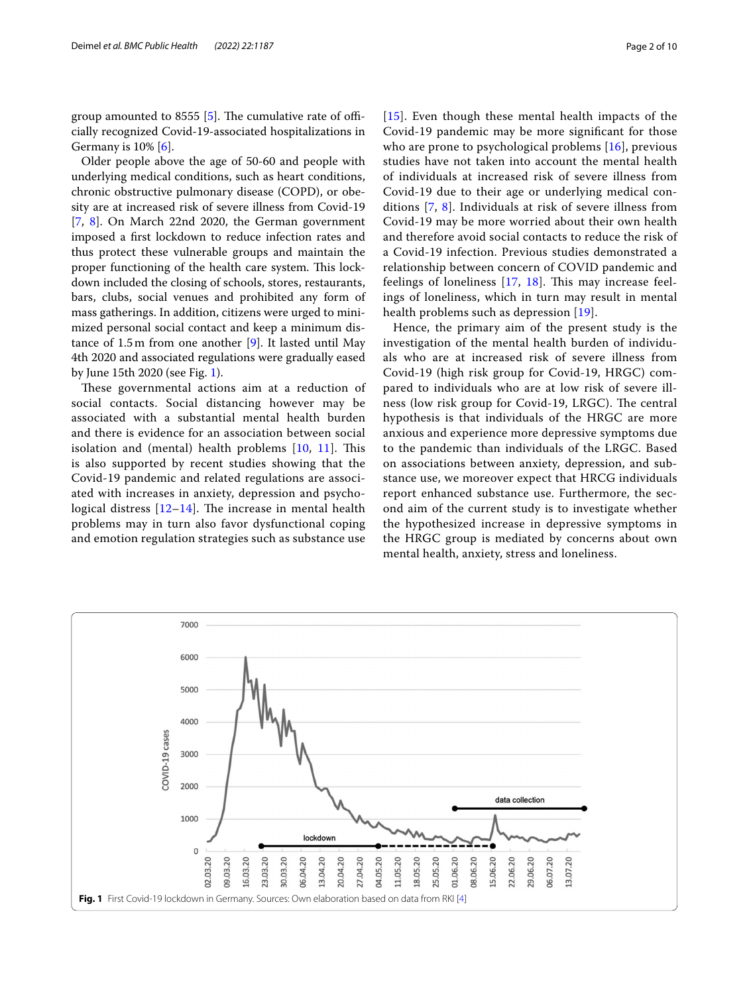group amounted to 8555  $[5]$  $[5]$ . The cumulative rate of officially recognized Covid-19-associated hospitalizations in Germany is  $10\%$  [\[6](#page-8-5)].

Older people above the age of 50-60 and people with underlying medical conditions, such as heart conditions, chronic obstructive pulmonary disease (COPD), or obesity are at increased risk of severe illness from Covid-19 [[7,](#page-8-6) [8](#page-8-7)]. On March 22nd 2020, the German government imposed a frst lockdown to reduce infection rates and thus protect these vulnerable groups and maintain the proper functioning of the health care system. This lockdown included the closing of schools, stores, restaurants, bars, clubs, social venues and prohibited any form of mass gatherings. In addition, citizens were urged to minimized personal social contact and keep a minimum distance of 1.5m from one another [\[9\]](#page-8-8). It lasted until May 4th 2020 and associated regulations were gradually eased by June 15th 2020 (see Fig. [1](#page-1-0)).

These governmental actions aim at a reduction of social contacts. Social distancing however may be associated with a substantial mental health burden and there is evidence for an association between social isolation and (mental) health problems  $[10, 11]$  $[10, 11]$  $[10, 11]$  $[10, 11]$ . This is also supported by recent studies showing that the Covid-19 pandemic and related regulations are associated with increases in anxiety, depression and psychological distress  $[12-14]$  $[12-14]$ . The increase in mental health problems may in turn also favor dysfunctional coping and emotion regulation strategies such as substance use [[15](#page-8-13)]. Even though these mental health impacts of the Covid-19 pandemic may be more signifcant for those who are prone to psychological problems [[16](#page-9-0)], previous studies have not taken into account the mental health of individuals at increased risk of severe illness from Covid-19 due to their age or underlying medical conditions [[7,](#page-8-6) [8\]](#page-8-7). Individuals at risk of severe illness from Covid-19 may be more worried about their own health and therefore avoid social contacts to reduce the risk of a Covid-19 infection. Previous studies demonstrated a relationship between concern of COVID pandemic and feelings of loneliness  $[17, 18]$  $[17, 18]$  $[17, 18]$  $[17, 18]$ . This may increase feelings of loneliness, which in turn may result in mental health problems such as depression [[19\]](#page-9-3).

Hence, the primary aim of the present study is the investigation of the mental health burden of individuals who are at increased risk of severe illness from Covid-19 (high risk group for Covid-19, HRGC) compared to individuals who are at low risk of severe illness (low risk group for Covid-19, LRGC). The central hypothesis is that individuals of the HRGC are more anxious and experience more depressive symptoms due to the pandemic than individuals of the LRGC. Based on associations between anxiety, depression, and substance use, we moreover expect that HRCG individuals report enhanced substance use. Furthermore, the second aim of the current study is to investigate whether the hypothesized increase in depressive symptoms in the HRGC group is mediated by concerns about own mental health, anxiety, stress and loneliness.

<span id="page-1-0"></span>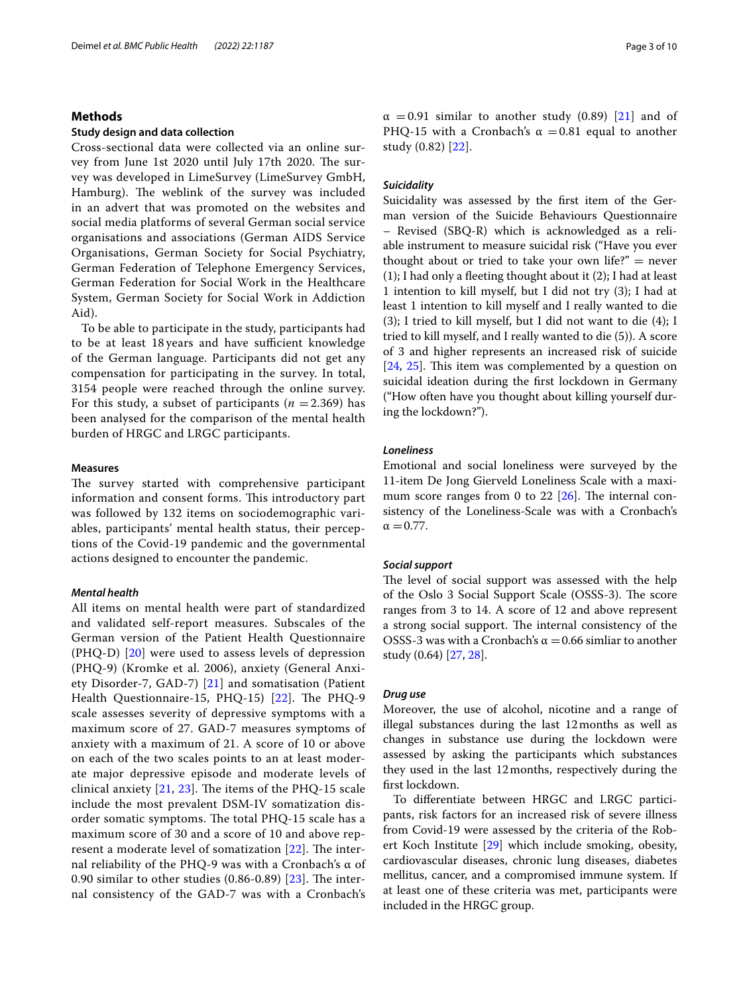### **Methods**

### **Study design and data collection**

Cross-sectional data were collected via an online survey from June 1st 2020 until July 17th 2020. The survey was developed in LimeSurvey (LimeSurvey GmbH, Hamburg). The weblink of the survey was included in an advert that was promoted on the websites and social media platforms of several German social service organisations and associations (German AIDS Service Organisations, German Society for Social Psychiatry, German Federation of Telephone Emergency Services, German Federation for Social Work in the Healthcare System, German Society for Social Work in Addiction Aid).

To be able to participate in the study, participants had to be at least 18 years and have sufficient knowledge of the German language. Participants did not get any compensation for participating in the survey. In total, 3154 people were reached through the online survey. For this study, a subset of participants  $(n = 2.369)$  has been analysed for the comparison of the mental health burden of HRGC and LRGC participants.

### **Measures**

The survey started with comprehensive participant information and consent forms. This introductory part was followed by 132 items on sociodemographic variables, participants' mental health status, their perceptions of the Covid-19 pandemic and the governmental actions designed to encounter the pandemic.

### *Mental health*

All items on mental health were part of standardized and validated self-report measures. Subscales of the German version of the Patient Health Questionnaire (PHQ-D) [\[20\]](#page-9-4) were used to assess levels of depression (PHQ-9) (Kromke et al. 2006), anxiety (General Anxiety Disorder-7, GAD-7) [[21\]](#page-9-5) and somatisation (Patient Health Questionnaire-15, PHQ-15) [[22](#page-9-6)]. The PHQ-9 scale assesses severity of depressive symptoms with a maximum score of 27. GAD-7 measures symptoms of anxiety with a maximum of 21. A score of 10 or above on each of the two scales points to an at least moderate major depressive episode and moderate levels of clinical anxiety  $[21, 23]$  $[21, 23]$  $[21, 23]$  $[21, 23]$ . The items of the PHQ-15 scale include the most prevalent DSM-IV somatization disorder somatic symptoms. The total PHQ-15 scale has a maximum score of 30 and a score of 10 and above represent a moderate level of somatization  $[22]$  $[22]$  $[22]$ . The internal reliability of the PHQ-9 was with a Cronbach's α of 0.90 similar to other studies  $(0.86-0.89)$   $[23]$  $[23]$  $[23]$ . The internal consistency of the GAD-7 was with a Cronbach's  $\alpha$  =0.91 similar to another study (0.89) [[21\]](#page-9-5) and of PHQ-15 with a Cronbach's  $\alpha$  =0.81 equal to another study (0.82) [[22](#page-9-6)].

### *Suicidality*

Suicidality was assessed by the frst item of the German version of the Suicide Behaviours Questionnaire – Revised (SBQ-R) which is acknowledged as a reliable instrument to measure suicidal risk ("Have you ever thought about or tried to take your own life?"  $=$  never (1); I had only a feeting thought about it (2); I had at least 1 intention to kill myself, but I did not try (3); I had at least 1 intention to kill myself and I really wanted to die (3); I tried to kill myself, but I did not want to die (4); I tried to kill myself, and I really wanted to die (5)). A score of 3 and higher represents an increased risk of suicide  $[24, 25]$  $[24, 25]$  $[24, 25]$  $[24, 25]$  $[24, 25]$ . This item was complemented by a question on suicidal ideation during the frst lockdown in Germany ("How often have you thought about killing yourself during the lockdown?").

### *Loneliness*

Emotional and social loneliness were surveyed by the 11-item De Jong Gierveld Loneliness Scale with a maximum score ranges from 0 to 22  $[26]$  $[26]$ . The internal consistency of the Loneliness-Scale was with a Cronbach's  $\alpha = 0.77$ .

### *Social support*

The level of social support was assessed with the help of the Oslo 3 Social Support Scale (OSSS-3). The score ranges from 3 to 14. A score of 12 and above represent a strong social support. The internal consistency of the OSSS-3 was with a Cronbach's  $\alpha$  = 0.66 simliar to another study (0.64) [[27,](#page-9-11) [28](#page-9-12)].

### *Drug use*

Moreover, the use of alcohol, nicotine and a range of illegal substances during the last 12months as well as changes in substance use during the lockdown were assessed by asking the participants which substances they used in the last 12months, respectively during the frst lockdown.

To diferentiate between HRGC and LRGC participants, risk factors for an increased risk of severe illness from Covid-19 were assessed by the criteria of the Robert Koch Institute [\[29\]](#page-9-13) which include smoking, obesity, cardiovascular diseases, chronic lung diseases, diabetes mellitus, cancer, and a compromised immune system. If at least one of these criteria was met, participants were included in the HRGC group.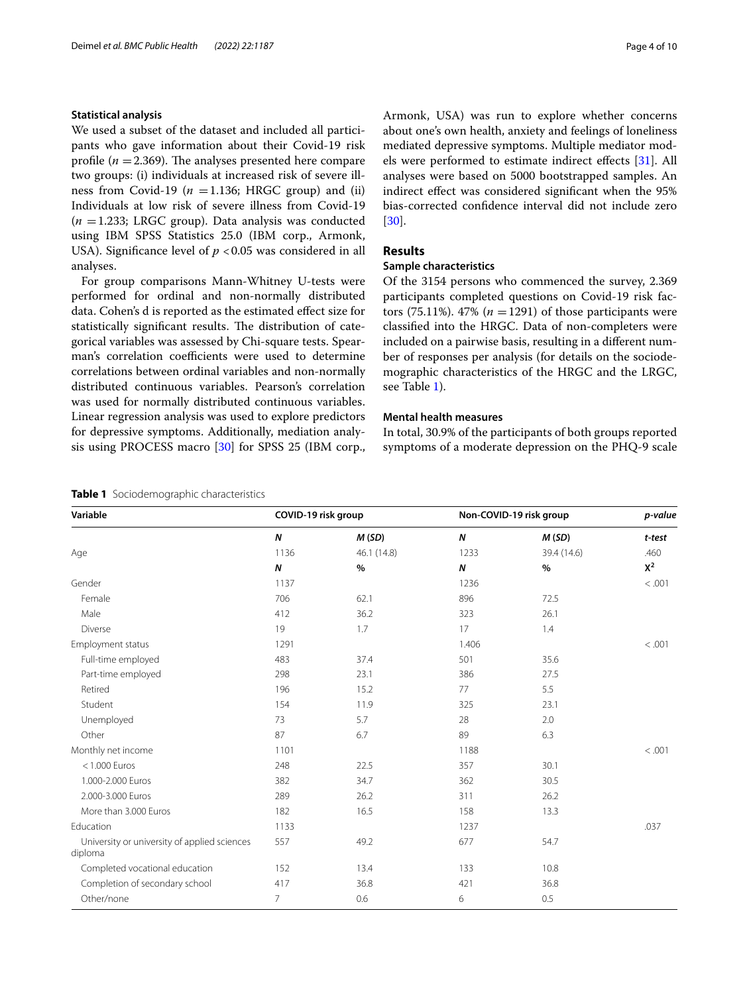### **Statistical analysis**

We used a subset of the dataset and included all participants who gave information about their Covid-19 risk profile ( $n = 2.369$ ). The analyses presented here compare two groups: (i) individuals at increased risk of severe illness from Covid-19 ( $n = 1.136$ ; HRGC group) and (ii) Individuals at low risk of severe illness from Covid-19  $(n = 1.233;$  LRGC group). Data analysis was conducted using IBM SPSS Statistics 25.0 (IBM corp., Armonk, USA). Significance level of  $p < 0.05$  was considered in all analyses.

For group comparisons Mann-Whitney U-tests were performed for ordinal and non-normally distributed data. Cohen's d is reported as the estimated efect size for statistically significant results. The distribution of categorical variables was assessed by Chi-square tests. Spearman's correlation coefficients were used to determine correlations between ordinal variables and non-normally distributed continuous variables. Pearson's correlation was used for normally distributed continuous variables. Linear regression analysis was used to explore predictors for depressive symptoms. Additionally, mediation analysis using PROCESS macro [[30\]](#page-9-14) for SPSS 25 (IBM corp.,

### <span id="page-3-0"></span>**Table 1** Sociodemographic characteristics

Armonk, USA) was run to explore whether concerns about one's own health, anxiety and feelings of loneliness mediated depressive symptoms. Multiple mediator models were performed to estimate indirect efects [[31\]](#page-9-15). All analyses were based on 5000 bootstrapped samples. An indirect efect was considered signifcant when the 95% bias-corrected confdence interval did not include zero [[30\]](#page-9-14).

### **Results**

### **Sample characteristics**

Of the 3154 persons who commenced the survey, 2.369 participants completed questions on Covid-19 risk factors (75.11%). 47% ( $n = 1291$ ) of those participants were classifed into the HRGC. Data of non-completers were included on a pairwise basis, resulting in a diferent number of responses per analysis (for details on the sociodemographic characteristics of the HRGC and the LRGC, see Table [1](#page-3-0)).

### **Mental health measures**

In total, 30.9% of the participants of both groups reported symptoms of a moderate depression on the PHQ-9 scale

| Variable                                                | COVID-19 risk group |             |                  | Non-COVID-19 risk group |        |  |
|---------------------------------------------------------|---------------------|-------------|------------------|-------------------------|--------|--|
|                                                         | $\boldsymbol{N}$    | M(SD)       | $\boldsymbol{N}$ | M(SD)                   | t-test |  |
| Age                                                     | 1136                | 46.1 (14.8) | 1233             | 39.4 (14.6)             | .460   |  |
|                                                         | $\boldsymbol{N}$    | %           | $\boldsymbol{N}$ | $\%$                    | $X^2$  |  |
| Gender                                                  | 1137                |             | 1236             |                         | < .001 |  |
| Female                                                  | 706                 | 62.1        | 896              | 72.5                    |        |  |
| Male                                                    | 412                 | 36.2        | 323              | 26.1                    |        |  |
| Diverse                                                 | 19                  | 1.7         | 17               | 1.4                     |        |  |
| Employment status                                       | 1291                |             | 1.406            |                         | < .001 |  |
| Full-time employed                                      | 483                 | 37.4        | 501              | 35.6                    |        |  |
| Part-time employed                                      | 298                 | 23.1        | 386              | 27.5                    |        |  |
| Retired                                                 | 196                 | 15.2        | 77               | 5.5                     |        |  |
| Student                                                 | 154                 | 11.9        | 325              | 23.1                    |        |  |
| Unemployed                                              | 73                  | 5.7         | 28               | 2.0                     |        |  |
| Other                                                   | 87                  | 6.7         | 89               | 6.3                     |        |  |
| Monthly net income                                      | 1101                |             | 1188             |                         | < .001 |  |
| $<$ 1.000 Euros                                         | 248                 | 22.5        | 357              | 30.1                    |        |  |
| 1.000-2.000 Euros                                       | 382                 | 34.7        | 362              | 30.5                    |        |  |
| 2.000-3.000 Euros                                       | 289                 | 26.2        | 311              | 26.2                    |        |  |
| More than 3.000 Euros                                   | 182                 | 16.5        | 158              | 13.3                    |        |  |
| Education                                               | 1133                |             | 1237             |                         | .037   |  |
| University or university of applied sciences<br>diploma | 557                 | 49.2        | 677              | 54.7                    |        |  |
| Completed vocational education                          | 152                 | 13.4        | 133              | 10.8                    |        |  |
| Completion of secondary school                          | 417                 | 36.8        | 421              | 36.8                    |        |  |
| Other/none                                              | $\overline{7}$      | 0.6         | 6                | 0.5                     |        |  |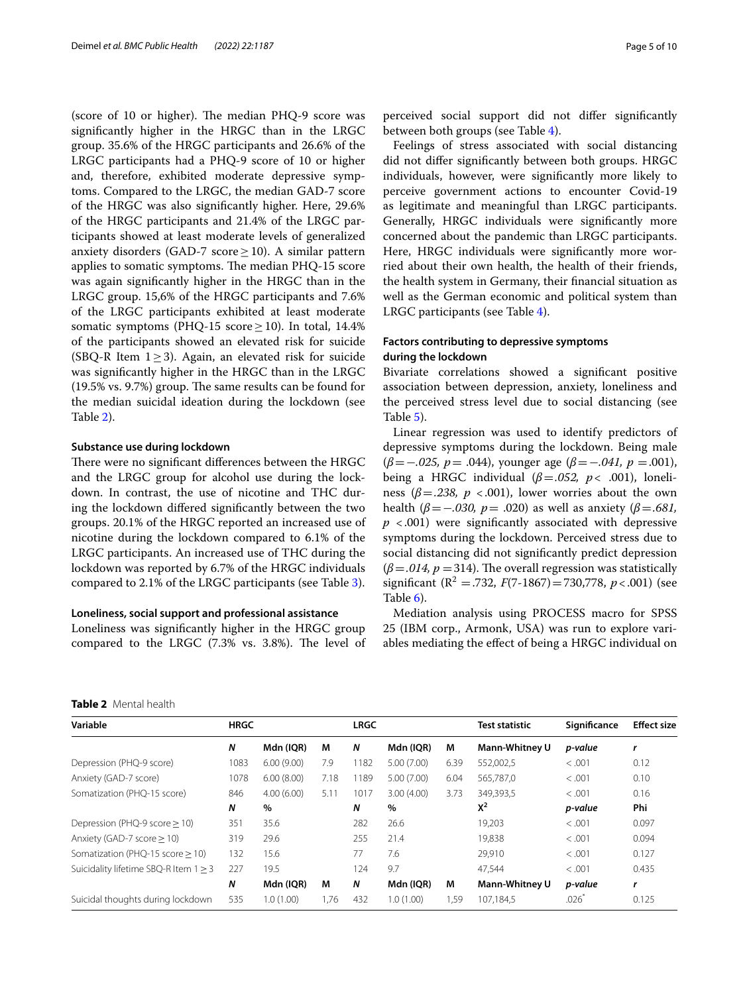(score of 10 or higher). The median PHQ-9 score was signifcantly higher in the HRGC than in the LRGC group. 35.6% of the HRGC participants and 26.6% of the LRGC participants had a PHQ-9 score of 10 or higher and, therefore, exhibited moderate depressive symptoms. Compared to the LRGC, the median GAD-7 score of the HRGC was also signifcantly higher. Here, 29.6% of the HRGC participants and 21.4% of the LRGC participants showed at least moderate levels of generalized anxiety disorders (GAD-7 score  $\geq$  10). A similar pattern applies to somatic symptoms. The median PHQ-15 score was again signifcantly higher in the HRGC than in the LRGC group. 15,6% of the HRGC participants and 7.6% of the LRGC participants exhibited at least moderate somatic symptoms (PHQ-15 score  $\geq$  10). In total, 14.4% of the participants showed an elevated risk for suicide (SBQ-R Item  $1 \ge 3$ ). Again, an elevated risk for suicide was signifcantly higher in the HRGC than in the LRGC  $(19.5\% \text{ vs. } 9.7\%)$  group. The same results can be found for the median suicidal ideation during the lockdown (see Table [2](#page-4-0)).

### **Substance use during lockdown**

There were no significant differences between the HRGC and the LRGC group for alcohol use during the lockdown. In contrast, the use of nicotine and THC during the lockdown difered signifcantly between the two groups. 20.1% of the HRGC reported an increased use of nicotine during the lockdown compared to 6.1% of the LRGC participants. An increased use of THC during the lockdown was reported by 6.7% of the HRGC individuals compared to 2.1% of the LRGC participants (see Table [3\)](#page-5-0).

### **Loneliness, social support and professional assistance**

Loneliness was signifcantly higher in the HRGC group compared to the LRGC (7.3% vs. 3.8%). The level of

perceived social support did not difer signifcantly between both groups (see Table [4](#page-5-1)).

Feelings of stress associated with social distancing did not difer signifcantly between both groups. HRGC individuals, however, were signifcantly more likely to perceive government actions to encounter Covid-19 as legitimate and meaningful than LRGC participants. Generally, HRGC individuals were signifcantly more concerned about the pandemic than LRGC participants. Here, HRGC individuals were significantly more worried about their own health, the health of their friends, the health system in Germany, their fnancial situation as well as the German economic and political system than LRGC participants (see Table [4\)](#page-5-1).

### **Factors contributing to depressive symptoms during the lockdown**

Bivariate correlations showed a signifcant positive association between depression, anxiety, loneliness and the perceived stress level due to social distancing (see Table [5](#page-6-0)).

Linear regression was used to identify predictors of depressive symptoms during the lockdown. Being male (*β*=−*.025, p*= .044), younger age (*β*=−*.041, p* =.001), being a HRGC individual (*β*=*.052, p<* .001), loneliness ( $\beta = .238$ ,  $p < .001$ ), lower worries about the own health (*β* = −*.030, p* = *.020*) as well as anxiety (*β* = *.681,*  $p \leq 0.001$ ) were significantly associated with depressive symptoms during the lockdown. Perceived stress due to social distancing did not signifcantly predict depression  $(\beta = .014, p = 314)$ . The overall regression was statistically significant ( $\mathbb{R}^2 = .732$ ,  $F(7-1867) = 730,778$ ,  $p < .001$ ) (see Table [6](#page-6-1)).

Mediation analysis using PROCESS macro for SPSS 25 (IBM corp., Armonk, USA) was run to explore variables mediating the efect of being a HRGC individual on

| variable                    | пкис |                          |   | LKUL |             |    |
|-----------------------------|------|--------------------------|---|------|-------------|----|
|                             | N    | Mdn (IQR)                | M | N    | Mdn (IQR)   | N  |
| Depression (PHQ-9 score)    | 1083 | $6.00(9.00)$ $7.9$ 1182  |   |      | 5.00 (7.00) | 6. |
| Anxiety (GAD-7 score)       | 1078 | $6.00(8.00)$ $7.18$ 1189 |   |      | 5.00 (7.00) | 6. |
| Somatization (PHQ-15 score) | 846  | 4.00 (6.00) 5.11 1017    |   |      | 3.00(4.00)  | 3. |
|                             | Ν    | $\%$                     |   | Ν    | %           |    |

<span id="page-4-0"></span>

| Variable                              | <b>HRGC</b> |            |      | <b>LRGC</b> |            |      | <b>Test statistic</b> | Significance | <b>Effect size</b> |  |
|---------------------------------------|-------------|------------|------|-------------|------------|------|-----------------------|--------------|--------------------|--|
|                                       | N           | Mdn (IQR)  | M    | N           | Mdn (IQR)  | M    | <b>Mann-Whitney U</b> | p-value      | $\mathbf{r}$       |  |
| Depression (PHQ-9 score)              | 1083        | 6.00(9.00) | 7.9  | 1182        | 5.00(7.00) | 6.39 | 552,002,5             | < .001       | 0.12               |  |
| Anxiety (GAD-7 score)                 | 1078        | 6.00(8.00) | 7.18 | 1189        | 5.00(7.00) | 6.04 | 565,787,0             | < .001       | 0.10               |  |
| Somatization (PHO-15 score)           | 846         | 4.00(6.00) | 5.11 | 1017        | 3.00(4.00) | 3.73 | 349.393.5             | < .001       | 0.16               |  |
|                                       | N           | $\%$       |      | N           | $\%$       |      | $X^2$                 | p-value      | Phi                |  |
| Depression (PHQ-9 score > 10)         | 351         | 35.6       |      | 282         | 26.6       |      | 19,203                | < 0.001      | 0.097              |  |
| Anxiety (GAD-7 score > 10)            | 319         | 29.6       |      | 255         | 21.4       |      | 19.838                | < 0.001      | 0.094              |  |
| Somatization (PHQ-15 score > 10)      | 132         | 15.6       |      | 77          | 7.6        |      | 29.910                | < 0.001      | 0.127              |  |
| Suicidality lifetime SBQ-R Item 1 > 3 | 227         | 19.5       |      | 124         | 9.7        |      | 47.544                | < 0.001      | 0.435              |  |
|                                       | N           | Mdn (IQR)  | M    | N           | Mdn (IQR)  | М    | <b>Mann-Whitney U</b> | p-value      | r                  |  |
| Suicidal thoughts during lockdown     | 535         | 1.0(1.00)  | 1,76 | 432         | 1.0(1.00)  | ,59  | 107.184.5             | .026         | 0.125              |  |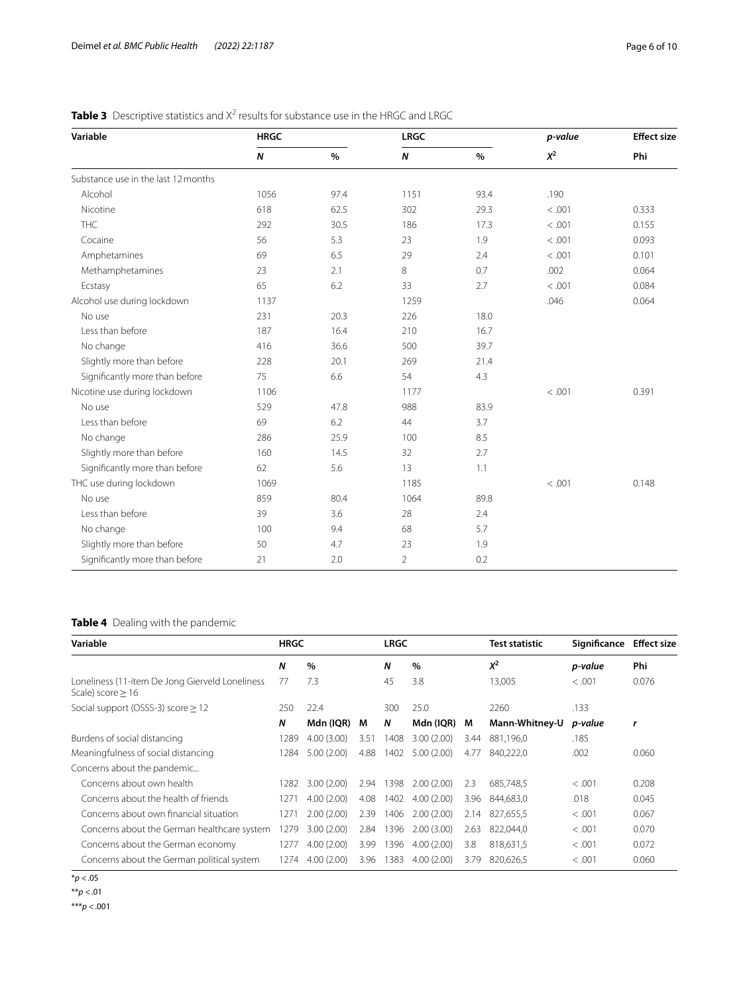| Variable                            | <b>HRGC</b> |      | <b>LRGC</b>      |      | p-value  | <b>Effect size</b> |
|-------------------------------------|-------------|------|------------------|------|----------|--------------------|
|                                     | $\pmb N$    | $\%$ | $\boldsymbol{N}$ | $\%$ | $\chi^2$ | Phi                |
| Substance use in the last 12 months |             |      |                  |      |          |                    |
| Alcohol                             | 1056        | 97.4 | 1151             | 93.4 | .190     |                    |
| Nicotine                            | 618         | 62.5 | 302              | 29.3 | < .001   | 0.333              |
| <b>THC</b>                          | 292         | 30.5 | 186              | 17.3 | < .001   | 0.155              |
| Cocaine                             | 56          | 5.3  | 23               | 1.9  | < .001   | 0.093              |
| Amphetamines                        | 69          | 6.5  | 29               | 2.4  | < .001   | 0.101              |
| Methamphetamines                    | 23          | 2.1  | 8                | 0.7  | .002     | 0.064              |
| Ecstasy                             | 65          | 6.2  | 33               | 2.7  | < .001   | 0.084              |
| Alcohol use during lockdown         | 1137        |      | 1259             |      | .046     | 0.064              |
| No use                              | 231         | 20.3 | 226              | 18.0 |          |                    |
| Less than before                    | 187         | 16.4 | 210              | 16.7 |          |                    |
| No change                           | 416         | 36.6 | 500              | 39.7 |          |                    |
| Slightly more than before           | 228         | 20.1 | 269              | 21.4 |          |                    |
| Significantly more than before      | 75          | 6.6  | 54               | 4.3  |          |                    |
| Nicotine use during lockdown        | 1106        |      | 1177             |      | < .001   | 0.391              |
| No use                              | 529         | 47.8 | 988              | 83.9 |          |                    |
| Less than before                    | 69          | 6.2  | 44               | 3.7  |          |                    |
| No change                           | 286         | 25.9 | 100              | 8.5  |          |                    |
| Slightly more than before           | 160         | 14.5 | 32               | 2.7  |          |                    |
| Significantly more than before      | 62          | 5.6  | 13               | 1.1  |          |                    |
| THC use during lockdown             | 1069        |      | 1185             |      | < .001   | 0.148              |
| No use                              | 859         | 80.4 | 1064             | 89.8 |          |                    |
| Less than before                    | 39          | 3.6  | 28               | 2.4  |          |                    |
| No change                           | 100         | 9.4  | 68               | 5.7  |          |                    |
| Slightly more than before           | 50          | 4.7  | 23               | 1.9  |          |                    |
| Significantly more than before      | 21          | 2.0  | $\overline{2}$   | 0.2  |          |                    |

### <span id="page-5-0"></span>Table 3 Descriptive statistics and X<sup>2</sup> results for substance use in the HRGC and LRGC

### <span id="page-5-1"></span>**Table 4** Dealing with the pandemic

| Variable                                                               |      | <b>HRGC</b> |      | <b>LRGC</b> |            | <b>Test statistic</b> | Significance   | <b>Effect size</b> |       |
|------------------------------------------------------------------------|------|-------------|------|-------------|------------|-----------------------|----------------|--------------------|-------|
|                                                                        | Ν    | $\%$        |      | N           | %          |                       | $X^2$          | p-value            | Phi   |
| Loneliness (11-item De Jong Gierveld Loneliness<br>Scale) score $> 16$ | 77   | 7.3         |      | 45          | 3.8        |                       | 13,005         | < .001             | 0.076 |
| Social support (OSSS-3) score $\geq$ 12                                | 250  | 22.4        |      | 300         | 25.0       |                       | 2260           | .133               |       |
|                                                                        | Ν    | Mdn (IQR)   | M    | N           | Mdn (IQR)  | M                     | Mann-Whitney-U | p-value            | r     |
| Burdens of social distancing                                           | 1289 | 4.00(3.00)  | 3.51 | 1408        | 3.00(2.00) | 3.44                  | 881,196,0      | .185               |       |
| Meaningfulness of social distancing                                    | 1284 | 5.00(2.00)  | 4.88 | 1402        | 5.00(2.00) | 4.77                  | 840.222.0      | .002               | 0.060 |
| Concerns about the pandemic                                            |      |             |      |             |            |                       |                |                    |       |
| Concerns about own health                                              | 1282 | 3.00(2.00)  | 2.94 | 1398        | 2.00(2.00) | 2.3                   | 685,748,5      | < 0.001            | 0.208 |
| Concerns about the health of friends                                   | 127' | 4.00(2.00)  | 4.08 | 1402        | 4.00(2.00) | 3.96                  | 844,683,0      | .018               | 0.045 |
| Concerns about own financial situation                                 | 127  | 2.00(2.00)  | 2.39 | 1406        | 2.00(2.00) | 2.14                  | 827.655.5      | < 0.001            | 0.067 |
| Concerns about the German healthcare system                            | 1279 | 3.00(2.00)  | 2.84 | 1396        | 2.00(3.00) | 2.63                  | 822.044.0      | < 0.001            | 0.070 |
| Concerns about the German economy                                      | 1277 | 4.00(2.00)  | 3.99 | 1396        | 4.00(2.00) | 3.8                   | 818,631,5      | < .001             | 0.072 |
| Concerns about the German political system                             | 1274 | 4.00(2.00)  | 3.96 | 1383        | 4.00(2.00) | 3.79                  | 820.626.5      | < 0.001            | 0.060 |

<sup>\*</sup>*p* <.05

\*\**p* <.01

\*\*\**p* <.001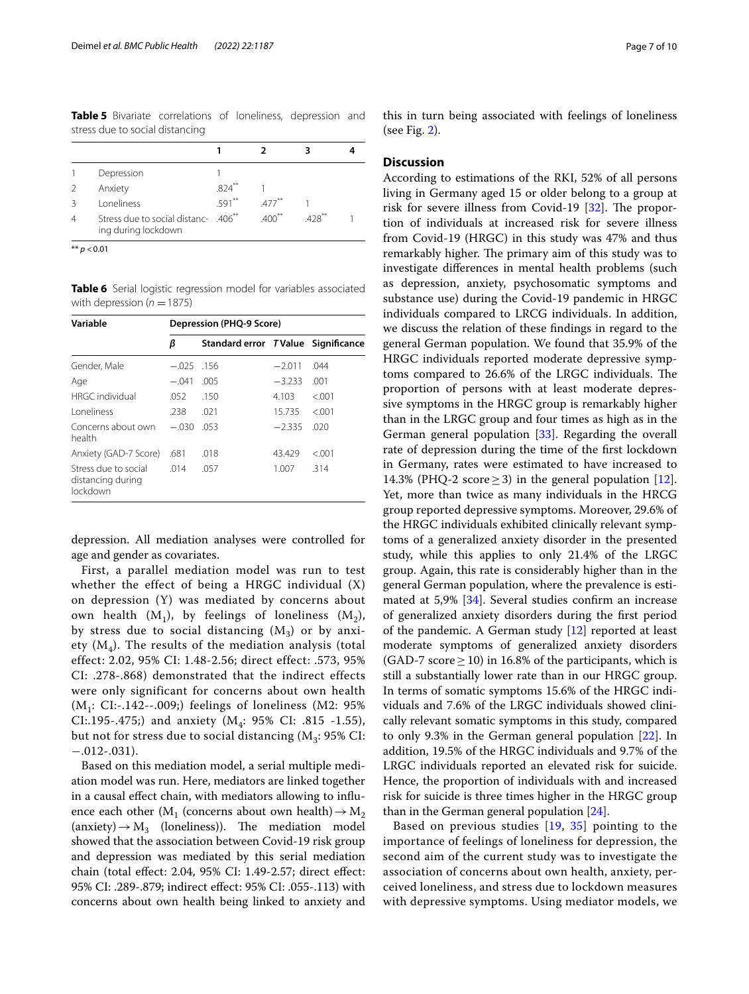<span id="page-6-0"></span>**Table 5** Bivariate correlations of loneliness, depression and stress due to social distancing

|               | Depression                                                              |         |                     |               |  |
|---------------|-------------------------------------------------------------------------|---------|---------------------|---------------|--|
| $\mathcal{P}$ | Anxiety                                                                 | 824     |                     |               |  |
| २             | <b>Loneliness</b>                                                       | $591**$ | $477$ <sup>**</sup> |               |  |
|               | Stress due to social distanc- .406 <sup>**</sup><br>ing during lockdown |         | $400^{**}$          | $428^{\circ}$ |  |

\*\* *p* <0.01

<span id="page-6-1"></span>**Table 6** Serial logistic regression model for variables associated with depression  $(n = 1875)$ 

| Variable                                              | Depression (PHQ-9 Score) |                                    |          |         |  |  |  |  |
|-------------------------------------------------------|--------------------------|------------------------------------|----------|---------|--|--|--|--|
|                                                       | β                        | Standard error TValue Significance |          |         |  |  |  |  |
| Gender, Male                                          | $-.025$                  | .156                               | $-2.011$ | .044    |  |  |  |  |
| Age                                                   | $-.041$                  | .005                               | $-3.233$ | .001    |  |  |  |  |
| <b>HRGC</b> individual                                | .052                     | .150                               | 4.103    | < 0.001 |  |  |  |  |
| <b>Loneliness</b>                                     | .238                     | .021                               | 15.735   | < 0.01  |  |  |  |  |
| Concerns about own<br>health                          | $-.030$                  | .053                               | $-2.335$ | .020    |  |  |  |  |
| Anxiety (GAD-7 Score)                                 | .681                     | .018                               | 43.429   | &001    |  |  |  |  |
| Stress due to social<br>distancing during<br>lockdown | .014                     | .057                               | 1.007    | .314    |  |  |  |  |

depression. All mediation analyses were controlled for age and gender as covariates.

First, a parallel mediation model was run to test whether the effect of being a HRGC individual (X) on depression (Y) was mediated by concerns about own health  $(M_1)$ , by feelings of loneliness  $(M_2)$ , by stress due to social distancing  $(M_3)$  or by anxiety  $(M_4)$ . The results of the mediation analysis (total effect: 2.02, 95% CI: 1.48-2.56; direct effect: .573, 95% CI: .278-.868) demonstrated that the indirect effects were only significant for concerns about own health  $(M_1: CI:-.142--.009)$ ; feelings of loneliness (M2: 95%) CI:.195-.475;) and anxiety  $(M_4: 95\% \text{ CI: } .815 -1.55)$ , but not for stress due to social distancing  $(M_3: 95\% \text{ CI:}$  $-.012-.031$ ).

Based on this mediation model, a serial multiple mediation model was run. Here, mediators are linked together in a causal efect chain, with mediators allowing to infuence each other ( $M_1$  (concerns about own health)  $\rightarrow$   $M_2$ (anxiety)  $\rightarrow$  M<sub>3</sub> (loneliness)). The mediation model showed that the association between Covid-19 risk group and depression was mediated by this serial mediation chain (total efect: 2.04, 95% CI: 1.49-2.57; direct efect: 95% CI: .289-.879; indirect efect: 95% CI: .055-.113) with concerns about own health being linked to anxiety and

this in turn being associated with feelings of loneliness (see Fig. [2](#page-7-0)).

### **Discussion**

According to estimations of the RKI, 52% of all persons living in Germany aged 15 or older belong to a group at risk for severe illness from Covid-19  $[32]$ . The proportion of individuals at increased risk for severe illness from Covid-19 (HRGC) in this study was 47% and thus remarkably higher. The primary aim of this study was to investigate diferences in mental health problems (such as depression, anxiety, psychosomatic symptoms and substance use) during the Covid-19 pandemic in HRGC individuals compared to LRCG individuals. In addition, we discuss the relation of these fndings in regard to the general German population. We found that 35.9% of the HRGC individuals reported moderate depressive symptoms compared to 26.6% of the LRGC individuals. The proportion of persons with at least moderate depressive symptoms in the HRGC group is remarkably higher than in the LRGC group and four times as high as in the German general population [[33\]](#page-9-17). Regarding the overall rate of depression during the time of the frst lockdown in Germany, rates were estimated to have increased to 14.3% (PHQ-2 score  $\geq$  3) in the general population [\[12](#page-8-11)]. Yet, more than twice as many individuals in the HRCG group reported depressive symptoms. Moreover, 29.6% of the HRGC individuals exhibited clinically relevant symptoms of a generalized anxiety disorder in the presented study, while this applies to only 21.4% of the LRGC group. Again, this rate is considerably higher than in the general German population, where the prevalence is estimated at 5,9% [\[34\]](#page-9-18). Several studies confrm an increase of generalized anxiety disorders during the frst period of the pandemic. A German study [[12\]](#page-8-11) reported at least moderate symptoms of generalized anxiety disorders  $(GAD-7 score \ge 10)$  in 16.8% of the participants, which is still a substantially lower rate than in our HRGC group. In terms of somatic symptoms 15.6% of the HRGC individuals and 7.6% of the LRGC individuals showed clinically relevant somatic symptoms in this study, compared to only 9.3% in the German general population [[22\]](#page-9-6). In addition, 19.5% of the HRGC individuals and 9.7% of the LRGC individuals reported an elevated risk for suicide. Hence, the proportion of individuals with and increased risk for suicide is three times higher in the HRGC group than in the German general population [[24\]](#page-9-8).

Based on previous studies [[19,](#page-9-3) [35\]](#page-9-19) pointing to the importance of feelings of loneliness for depression, the second aim of the current study was to investigate the association of concerns about own health, anxiety, perceived loneliness, and stress due to lockdown measures with depressive symptoms. Using mediator models, we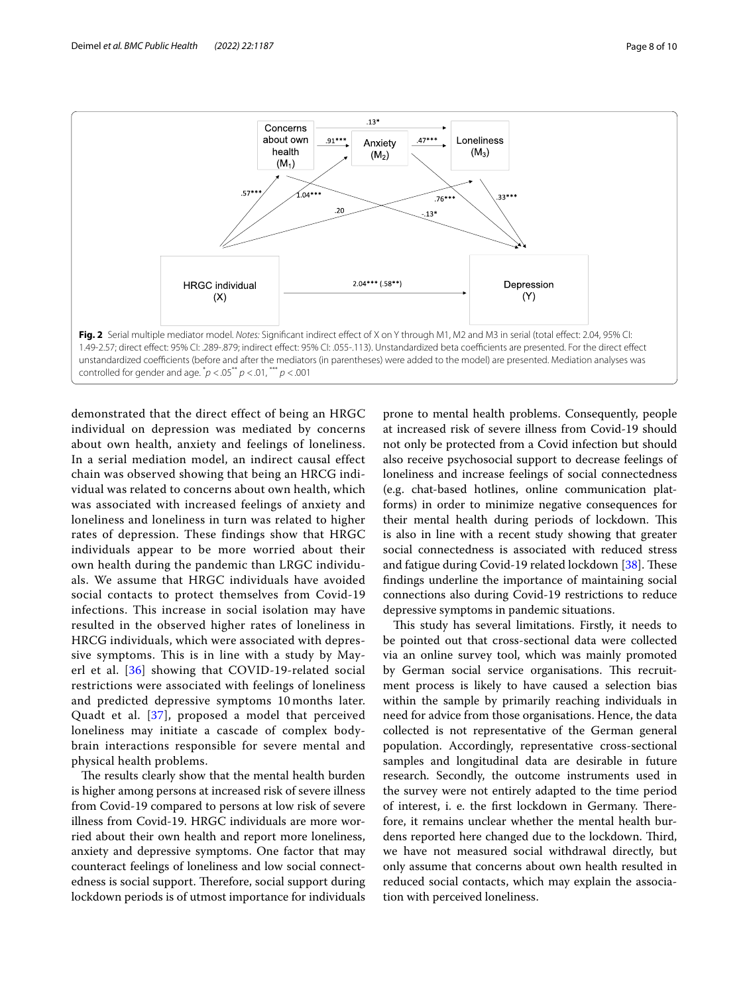

<span id="page-7-0"></span>demonstrated that the direct effect of being an HRGC individual on depression was mediated by concerns about own health, anxiety and feelings of loneliness. In a serial mediation model, an indirect causal effect chain was observed showing that being an HRCG individual was related to concerns about own health, which was associated with increased feelings of anxiety and loneliness and loneliness in turn was related to higher rates of depression. These findings show that HRGC individuals appear to be more worried about their own health during the pandemic than LRGC individuals. We assume that HRGC individuals have avoided social contacts to protect themselves from Covid-19 infections. This increase in social isolation may have resulted in the observed higher rates of loneliness in HRCG individuals, which were associated with depressive symptoms. This is in line with a study by Mayerl et al. [\[36\]](#page-9-20) showing that COVID-19-related social restrictions were associated with feelings of loneliness and predicted depressive symptoms 10 months later. Quadt et al. [\[37](#page-9-21)], proposed a model that perceived loneliness may initiate a cascade of complex bodybrain interactions responsible for severe mental and physical health problems.

The results clearly show that the mental health burden is higher among persons at increased risk of severe illness from Covid-19 compared to persons at low risk of severe illness from Covid-19. HRGC individuals are more worried about their own health and report more loneliness, anxiety and depressive symptoms. One factor that may counteract feelings of loneliness and low social connectedness is social support. Therefore, social support during lockdown periods is of utmost importance for individuals

prone to mental health problems. Consequently, people at increased risk of severe illness from Covid-19 should not only be protected from a Covid infection but should also receive psychosocial support to decrease feelings of loneliness and increase feelings of social connectedness (e.g. chat-based hotlines, online communication platforms) in order to minimize negative consequences for their mental health during periods of lockdown. This is also in line with a recent study showing that greater social connectedness is associated with reduced stress and fatigue during Covid-19 related lockdown [\[38](#page-9-22)]. These fndings underline the importance of maintaining social connections also during Covid-19 restrictions to reduce depressive symptoms in pandemic situations.

This study has several limitations. Firstly, it needs to be pointed out that cross-sectional data were collected via an online survey tool, which was mainly promoted by German social service organisations. This recruitment process is likely to have caused a selection bias within the sample by primarily reaching individuals in need for advice from those organisations. Hence, the data collected is not representative of the German general population. Accordingly, representative cross-sectional samples and longitudinal data are desirable in future research. Secondly, the outcome instruments used in the survey were not entirely adapted to the time period of interest, i. e. the first lockdown in Germany. Therefore, it remains unclear whether the mental health burdens reported here changed due to the lockdown. Third, we have not measured social withdrawal directly, but only assume that concerns about own health resulted in reduced social contacts, which may explain the association with perceived loneliness.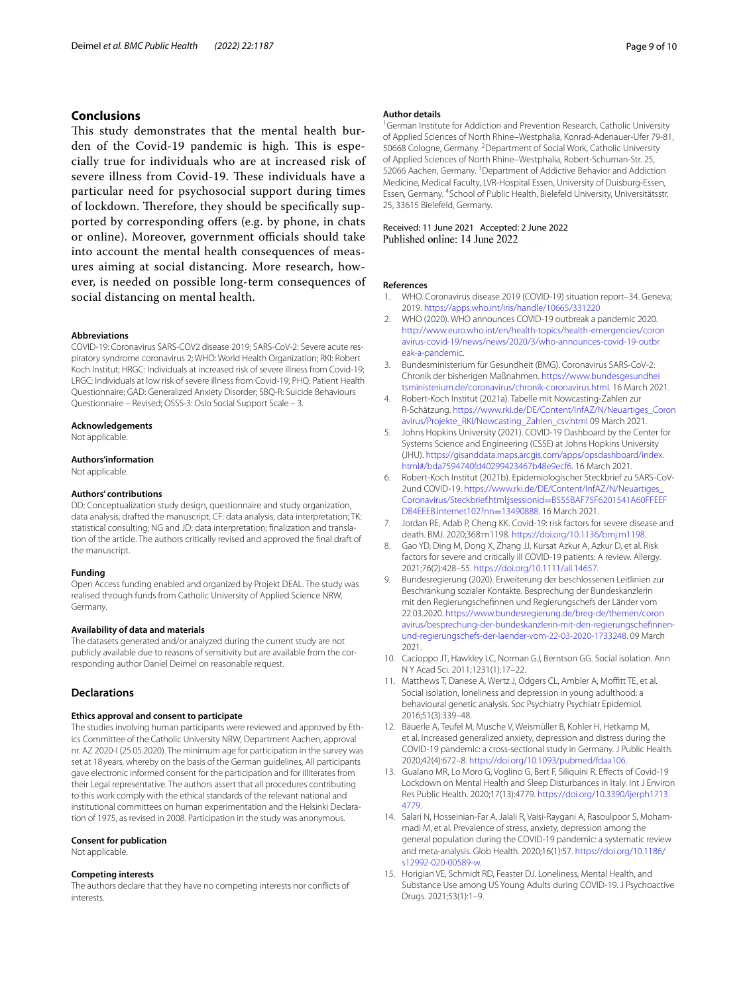### **Conclusions**

This study demonstrates that the mental health burden of the Covid-19 pandemic is high. This is especially true for individuals who are at increased risk of severe illness from Covid-19. These individuals have a particular need for psychosocial support during times of lockdown. Therefore, they should be specifically supported by corresponding offers (e.g. by phone, in chats or online). Moreover, government officials should take into account the mental health consequences of measures aiming at social distancing. More research, however, is needed on possible long-term consequences of social distancing on mental health.

#### **Abbreviations**

COVID-19: Coronavirus SARS-COV2 disease 2019; SARS-CoV-2: Severe acute respiratory syndrome coronavirus 2; WHO: World Health Organization; RKI: Robert Koch Institut; HRGC: Individuals at increased risk of severe illness from Covid-19; LRGC: Individuals at low risk of severe illness from Covid-19; PHQ: Patient Health Questionnaire; GAD: Generalized Anxiety Disorder; SBQ-R: Suicide Behaviours Questionnaire – Revised; OSSS-3: Oslo Social Support Scale – 3.

### **Acknowledgements**

Not applicable.

### **Authors'information**

Not applicable.

### **Authors' contributions**

DD: Conceptualization study design, questionnaire and study organization, data analysis, drafted the manuscript; CF: data analysis, data interpretation; TK: statistical consulting; NG and JD: data interpretation; fnalization and translation of the article. The authors critically revised and approved the fnal draft of the manuscript.

### **Funding**

Open Access funding enabled and organized by Projekt DEAL. The study was realised through funds from Catholic University of Applied Science NRW, Germany.

### **Availability of data and materials**

The datasets generated and/or analyzed during the current study are not publicly available due to reasons of sensitivity but are available from the corresponding author Daniel Deimel on reasonable request.

### **Declarations**

### **Ethics approval and consent to participate**

The studies involving human participants were reviewed and approved by Ethics Committee of the Catholic University NRW, Department Aachen, approval nr. AZ 2020-I (25.05.2020). The minimum age for participation in the survey was set at 18years, whereby on the basis of the German guidelines, All participants gave electronic informed consent for the participation and for illiterates from their Legal representative. The authors assert that all procedures contributing to this work comply with the ethical standards of the relevant national and institutional committees on human experimentation and the Helsinki Declaration of 1975, as revised in 2008. Participation in the study was anonymous.

### **Consent for publication**

Not applicable.

#### **Competing interests**

The authors declare that they have no competing interests nor conficts of interests.

#### **Author details**

<sup>1</sup> German Institute for Addiction and Prevention Research, Catholic University of Applied Sciences of North Rhine–Westphalia, Konrad-Adenauer-Ufer 79-81, 50668 Cologne, Germany. <sup>2</sup> Department of Social Work, Catholic University of Applied Sciences of North Rhine–Westphalia, Robert-Schuman-Str. 25, 52066 Aachen, Germany. <sup>3</sup> Department of Addictive Behavior and Addiction Medicine, Medical Faculty, LVR-Hospital Essen, University of Duisburg-Essen, Essen, Germany. <sup>4</sup> School of Public Health, Bielefeld University, Universitätsstr. 25, 33615 Bielefeld, Germany.

## Received: 11 June 2021 Accepted: 2 June 2022

#### **References**

- <span id="page-8-0"></span>1. WHO. Coronavirus disease 2019 (COVID-19) situation report–34. Geneva; 2019.<https://apps.who.int/iris/handle/10665/331220>
- <span id="page-8-1"></span>2. WHO (2020). WHO announces COVID-19 outbreak a pandemic 2020. [http://www.euro.who.int/en/health-topics/health-emergencies/coron](http://www.euro.who.int/en/health-topics/health-emergencies/coronavirus-covid-19/news/news/2020/3/who-announces-covid-19-outbreak-a-pandemic) [avirus-covid-19/news/news/2020/3/who-announces-covid-19-outbr](http://www.euro.who.int/en/health-topics/health-emergencies/coronavirus-covid-19/news/news/2020/3/who-announces-covid-19-outbreak-a-pandemic) [eak-a-pandemic.](http://www.euro.who.int/en/health-topics/health-emergencies/coronavirus-covid-19/news/news/2020/3/who-announces-covid-19-outbreak-a-pandemic)
- <span id="page-8-2"></span>3. Bundesministerium für Gesundheit (BMG). Coronavirus SARS-CoV-2: Chronik der bisherigen Maßnahmen. [https://www.bundesgesundhei](https://www.bundesgesundheitsministerium.de/coronavirus/chronik-coronavirus.html) [tsministerium.de/coronavirus/chronik-coronavirus.html](https://www.bundesgesundheitsministerium.de/coronavirus/chronik-coronavirus.html). 16 March 2021.
- <span id="page-8-3"></span>4. Robert-Koch Institut (2021a). Tabelle mit Nowcasting-Zahlen zur R-Schätzung. [https://www.rki.de/DE/Content/InfAZ/N/Neuartiges\\_Coron](https://www.rki.de/DE/Content/InfAZ/N/Neuartiges_Coronavirus/Projekte_RKI/Nowcasting_Zahlen_csv.html) [avirus/Projekte\\_RKI/Nowcasting\\_Zahlen\\_csv.html](https://www.rki.de/DE/Content/InfAZ/N/Neuartiges_Coronavirus/Projekte_RKI/Nowcasting_Zahlen_csv.html) 09 March 2021.
- <span id="page-8-4"></span>5. Johns Hopkins University (2021). COVID-19 Dashboard by the Center for Systems Science and Engineering (CSSE) at Johns Hopkins University (JHU). [https://gisanddata.maps.arcgis.com/apps/opsdashboard/index.](https://gisanddata.maps.arcgis.com/apps/opsdashboard/index.html#/bda7594740fd40299423467b48e9ecf6) [html#/bda7594740fd40299423467b48e9ecf6.](https://gisanddata.maps.arcgis.com/apps/opsdashboard/index.html#/bda7594740fd40299423467b48e9ecf6) 16 March 2021.
- <span id="page-8-5"></span>6. Robert-Koch Institut (2021b). Epidemiologischer Steckbrief zu SARS-CoV-2und COVID-19. [https://www.rki.de/DE/Content/InfAZ/N/Neuartiges\\_](https://www.rki.de/DE/Content/InfAZ/N/Neuartiges_Coronavirus/Steckbrief.html;jsessionid=B555BAF75F6201541A60FFEEFDB4EEEB.internet102?nn=13490888) [Coronavirus/Steckbrief.html;jsessionid](https://www.rki.de/DE/Content/InfAZ/N/Neuartiges_Coronavirus/Steckbrief.html;jsessionid=B555BAF75F6201541A60FFEEFDB4EEEB.internet102?nn=13490888)=B555BAF75F6201541A60FFEEF [DB4EEEB.internet102?nn](https://www.rki.de/DE/Content/InfAZ/N/Neuartiges_Coronavirus/Steckbrief.html;jsessionid=B555BAF75F6201541A60FFEEFDB4EEEB.internet102?nn=13490888)=13490888. 16 March 2021.
- <span id="page-8-6"></span>Jordan RE, Adab P, Cheng KK. Covid-19: risk factors for severe disease and death. BMJ. 2020;368:m1198. [https://doi.org/10.1136/bmj.m1198.](https://doi.org/10.1136/bmj.m1198)
- <span id="page-8-7"></span>8. Gao YD, Ding M, Dong X, Zhang JJ, Kursat Azkur A, Azkur D, et al. Risk factors for severe and critically ill COVID-19 patients: A review. Allergy. 2021;76(2):428–55. [https://doi.org/10.1111/all.14657.](https://doi.org/10.1111/all.14657)
- <span id="page-8-8"></span>9. Bundesregierung (2020). Erweiterung der beschlossenen Leitlinien zur Beschränkung sozialer Kontakte. Besprechung der Bundeskanzlerin mit den Regierungschefnnen und Regierungschefs der Länder vom 22.03.2020. [https://www.bundesregierung.de/breg-de/themen/coron](https://www.bundesregierung.de/breg-de/themen/coronavirus/besprechung-der-bundeskanzlerin-mit-den-regierungschefinnen-und-regierungschefs-der-laender-vom-22-03-2020-1733248) [avirus/besprechung-der-bundeskanzlerin-mit-den-regierungschefnnen](https://www.bundesregierung.de/breg-de/themen/coronavirus/besprechung-der-bundeskanzlerin-mit-den-regierungschefinnen-und-regierungschefs-der-laender-vom-22-03-2020-1733248)[und-regierungschefs-der-laender-vom-22-03-2020-1733248](https://www.bundesregierung.de/breg-de/themen/coronavirus/besprechung-der-bundeskanzlerin-mit-den-regierungschefinnen-und-regierungschefs-der-laender-vom-22-03-2020-1733248). 09 March 2021.
- <span id="page-8-9"></span>10. Cacioppo JT, Hawkley LC, Norman GJ, Berntson GG. Social isolation. Ann N Y Acad Sci. 2011;1231(1):17–22.
- <span id="page-8-10"></span>11. Matthews T, Danese A, Wertz J, Odgers CL, Ambler A, Moffitt TE, et al. Social isolation, loneliness and depression in young adulthood: a behavioural genetic analysis. Soc Psychiatry Psychiatr Epidemiol. 2016;51(3):339–48.
- <span id="page-8-11"></span>12. Bäuerle A, Teufel M, Musche V, Weismüller B, Kohler H, Hetkamp M, et al. Increased generalized anxiety, depression and distress during the COVID-19 pandemic: a cross-sectional study in Germany. J Public Health. 2020;42(4):672–8. [https://doi.org/10.1093/pubmed/fdaa106.](https://doi.org/10.1093/pubmed/fdaa106)
- 13. Gualano MR, Lo Moro G, Voglino G, Bert F, Siliquini R. Efects of Covid-19 Lockdown on Mental Health and Sleep Disturbances in Italy. Int J Environ Res Public Health. 2020;17(13):4779. [https://doi.org/10.3390/ijerph1713](https://doi.org/10.3390/ijerph17134779) [4779](https://doi.org/10.3390/ijerph17134779).
- <span id="page-8-12"></span>14. Salari N, Hosseinian-Far A, Jalali R, Vaisi-Raygani A, Rasoulpoor S, Mohammadi M, et al. Prevalence of stress, anxiety, depression among the general population during the COVID-19 pandemic: a systematic review and meta-analysis. Glob Health. 2020;16(1):57. [https://doi.org/10.1186/](https://doi.org/10.1186/s12992-020-00589-w) [s12992-020-00589-w.](https://doi.org/10.1186/s12992-020-00589-w)
- <span id="page-8-13"></span>15. Horigian VE, Schmidt RD, Feaster DJ. Loneliness, Mental Health, and Substance Use among US Young Adults during COVID-19. J Psychoactive Drugs. 2021;53(1):1–9.